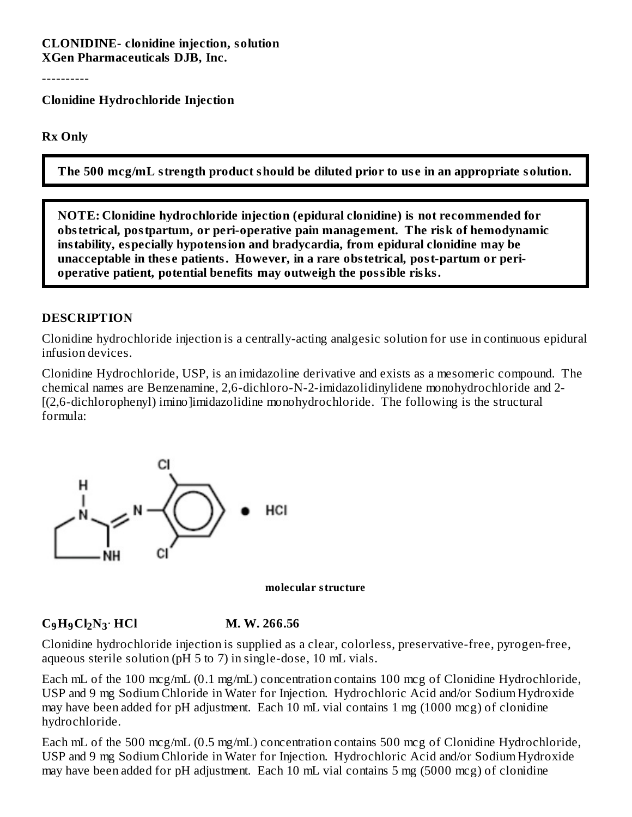#### **CLONIDINE- clonidine injection, solution XGen Pharmaceuticals DJB, Inc.**

----------

**Clonidine Hydrochloride Injection**

**Rx Only**

**The 500 mcg/mL strength product should be diluted prior to us e in an appropriate solution.**

**NOTE: Clonidine hydrochloride injection (epidural clonidine) is not recommended for obstetrical, postpartum, or peri-operative pain management. The risk of hemodynamic instability, especially hypotension and bradycardia, from epidural clonidine may be unacceptable in thes e patients. However, in a rare obstetrical, post-partum or perioperative patient, potential benefits may outweigh the possible risks.**

## **DESCRIPTION**

Clonidine hydrochloride injection is a centrally-acting analgesic solution for use in continuous epidural infusion devices.

Clonidine Hydrochloride, USP, is an imidazoline derivative and exists as a mesomeric compound. The chemical names are Benzenamine, 2,6-dichloro-N-2-imidazolidinylidene monohydrochloride and 2- [(2,6-dichlorophenyl) imino]imidazolidine monohydrochloride. The following is the structural formula:



**molecular structure**

# $C_9H_9Cl_2N_3 \cdot HCl$  **120 120 120 130 140 140 140 140 140 140 140 140 140 140 140 140 140 140 140 140 140 140 140 140 140 140 140 140 140 140 140 140 140 14**

Clonidine hydrochloride injection is supplied as a clear, colorless, preservative-free, pyrogen-free, aqueous sterile solution (pH 5 to 7) in single-dose, 10 mL vials.

Each mL of the 100 mcg/mL (0.1 mg/mL) concentration contains 100 mcg of Clonidine Hydrochloride, USP and 9 mg Sodium Chloride in Water for Injection. Hydrochloric Acid and/or Sodium Hydroxide may have been added for pH adjustment. Each 10 mL vial contains 1 mg (1000 mcg) of clonidine hydrochloride.

Each mL of the 500 mcg/mL (0.5 mg/mL) concentration contains 500 mcg of Clonidine Hydrochloride, USP and 9 mg Sodium Chloride in Water for Injection. Hydrochloric Acid and/or Sodium Hydroxide may have been added for pH adjustment. Each 10 mL vial contains 5 mg (5000 mcg) of clonidine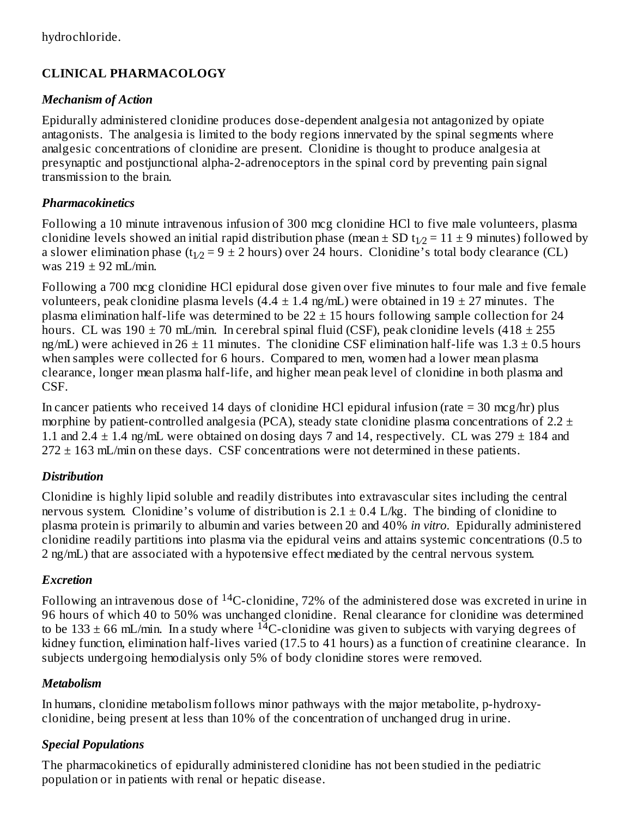# **CLINICAL PHARMACOLOGY**

## *Mechanism of Action*

Epidurally administered clonidine produces dose-dependent analgesia not antagonized by opiate antagonists. The analgesia is limited to the body regions innervated by the spinal segments where analgesic concentrations of clonidine are present. Clonidine is thought to produce analgesia at presynaptic and postjunctional alpha-2-adrenoceptors in the spinal cord by preventing pain signal transmission to the brain.

# *Pharmacokinetics*

Following a 10 minute intravenous infusion of 300 mcg clonidine HCl to five male volunteers, plasma clonidine levels showed an initial rapid distribution phase (mean  $\pm$  SD t $_{1/2}$  = 11  $\pm$  9 minutes) followed by a slower elimination phase (t<sub>1/2</sub> = 9  $\pm$  2 hours) over 24 hours. Clonidine's total body clearance (CL) was  $219 \pm 92$  mL/min.

Following a 700 mcg clonidine HCl epidural dose given over five minutes to four male and five female volunteers, peak clonidine plasma levels  $(4.4 \pm 1.4 \text{ ng/mL})$  were obtained in  $19 \pm 27$  minutes. The plasma elimination half-life was determined to be  $22 \pm 15$  hours following sample collection for 24 hours. CL was  $190 \pm 70$  mL/min. In cerebral spinal fluid (CSF), peak clonidine levels (418  $\pm$  255 ng/mL) were achieved in 26  $\pm$  11 minutes. The clonidine CSF elimination half-life was  $1.3 \pm 0.5$  hours when samples were collected for 6 hours. Compared to men, women had a lower mean plasma clearance, longer mean plasma half-life, and higher mean peak level of clonidine in both plasma and CSF.

In cancer patients who received 14 days of clonidine HCl epidural infusion (rate  $=$  30 mcg/hr) plus morphine by patient-controlled analgesia (PCA), steady state clonidine plasma concentrations of 2.2  $\pm$ 1.1 and 2.4  $\pm$  1.4 ng/mL were obtained on dosing days 7 and 14, respectively. CL was 279  $\pm$  184 and  $272 \pm 163$  mL/min on these days. CSF concentrations were not determined in these patients.

# *Distribution*

Clonidine is highly lipid soluble and readily distributes into extravascular sites including the central nervous system. Clonidine's volume of distribution is  $2.1 \pm 0.4$  L/kg. The binding of clonidine to plasma protein is primarily to albumin and varies between 20 and 40% *in vitro*. Epidurally administered clonidine readily partitions into plasma via the epidural veins and attains systemic concentrations (0.5 to 2 ng/mL) that are associated with a hypotensive effect mediated by the central nervous system.

# *Excretion*

Following an intravenous dose of  $\rm ^{14}C$ -clonidine, 72% of the administered dose was excreted in urine in 96 hours of which 40 to 50% was unchanged clonidine. Renal clearance for clonidine was determined to be 133  $\pm$  66 mL/min. In a study where  $^{14}$ C-clonidine was given to subjects with varying degrees of kidney function, elimination half-lives varied (17.5 to 41 hours) as a function of creatinine clearance. In subjects undergoing hemodialysis only 5% of body clonidine stores were removed.

# *Metabolism*

In humans, clonidine metabolism follows minor pathways with the major metabolite, p-hydroxyclonidine, being present at less than 10% of the concentration of unchanged drug in urine.

# *Special Populations*

The pharmacokinetics of epidurally administered clonidine has not been studied in the pediatric population or in patients with renal or hepatic disease.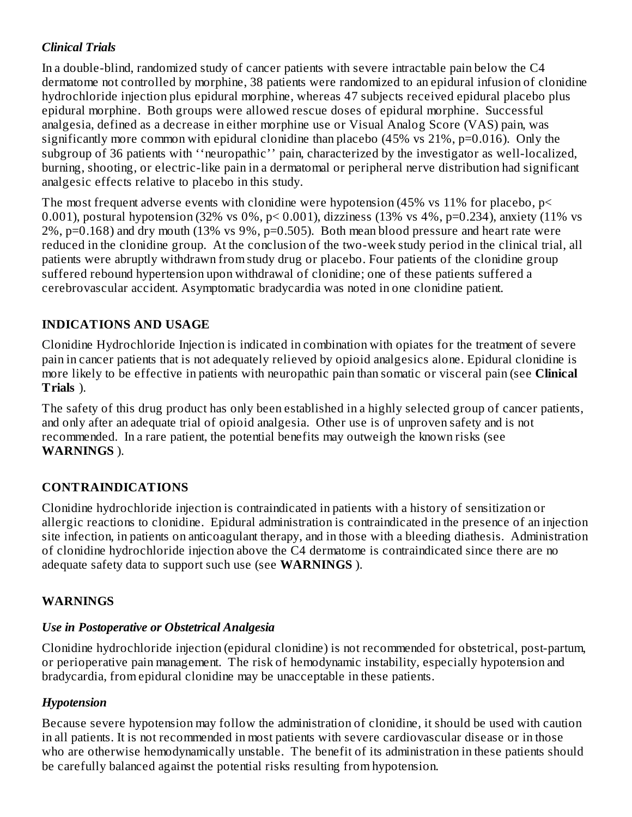## *Clinical Trials*

In a double-blind, randomized study of cancer patients with severe intractable pain below the C4 dermatome not controlled by morphine, 38 patients were randomized to an epidural infusion of clonidine hydrochloride injection plus epidural morphine, whereas 47 subjects received epidural placebo plus epidural morphine. Both groups were allowed rescue doses of epidural morphine. Successful analgesia, defined as a decrease in either morphine use or Visual Analog Score (VAS) pain, was significantly more common with epidural clonidine than placebo (45% vs 21%, p=0.016). Only the subgroup of 36 patients with ''neuropathic'' pain, characterized by the investigator as well-localized, burning, shooting, or electric-like pain in a dermatomal or peripheral nerve distribution had significant analgesic effects relative to placebo in this study.

The most frequent adverse events with clonidine were hypotension (45% vs 11% for placebo, p< 0.001), postural hypotension (32% vs 0%, p< 0.001), dizziness (13% vs 4%, p=0.234), anxiety (11% vs 2%, p=0.168) and dry mouth (13% vs 9%, p=0.505). Both mean blood pressure and heart rate were reduced in the clonidine group. At the conclusion of the two-week study period in the clinical trial, all patients were abruptly withdrawn from study drug or placebo. Four patients of the clonidine group suffered rebound hypertension upon withdrawal of clonidine; one of these patients suffered a cerebrovascular accident. Asymptomatic bradycardia was noted in one clonidine patient.

## **INDICATIONS AND USAGE**

Clonidine Hydrochloride Injection is indicated in combination with opiates for the treatment of severe pain in cancer patients that is not adequately relieved by opioid analgesics alone. Epidural clonidine is more likely to be effective in patients with neuropathic pain than somatic or visceral pain (see **Clinical Trials** ).

The safety of this drug product has only been established in a highly selected group of cancer patients, and only after an adequate trial of opioid analgesia. Other use is of unproven safety and is not recommended. In a rare patient, the potential benefits may outweigh the known risks (see **WARNINGS** ).

## **CONTRAINDICATIONS**

Clonidine hydrochloride injection is contraindicated in patients with a history of sensitization or allergic reactions to clonidine. Epidural administration is contraindicated in the presence of an injection site infection, in patients on anticoagulant therapy, and in those with a bleeding diathesis. Administration of clonidine hydrochloride injection above the C4 dermatome is contraindicated since there are no adequate safety data to support such use (see **WARNINGS** ).

## **WARNINGS**

## *Use in Postoperative or Obstetrical Analgesia*

Clonidine hydrochloride injection (epidural clonidine) is not recommended for obstetrical, post-partum, or perioperative pain management. The risk of hemodynamic instability, especially hypotension and bradycardia, from epidural clonidine may be unacceptable in these patients.

# *Hypotension*

Because severe hypotension may follow the administration of clonidine, it should be used with caution in all patients. It is not recommended in most patients with severe cardiovascular disease or in those who are otherwise hemodynamically unstable. The benefit of its administration in these patients should be carefully balanced against the potential risks resulting from hypotension.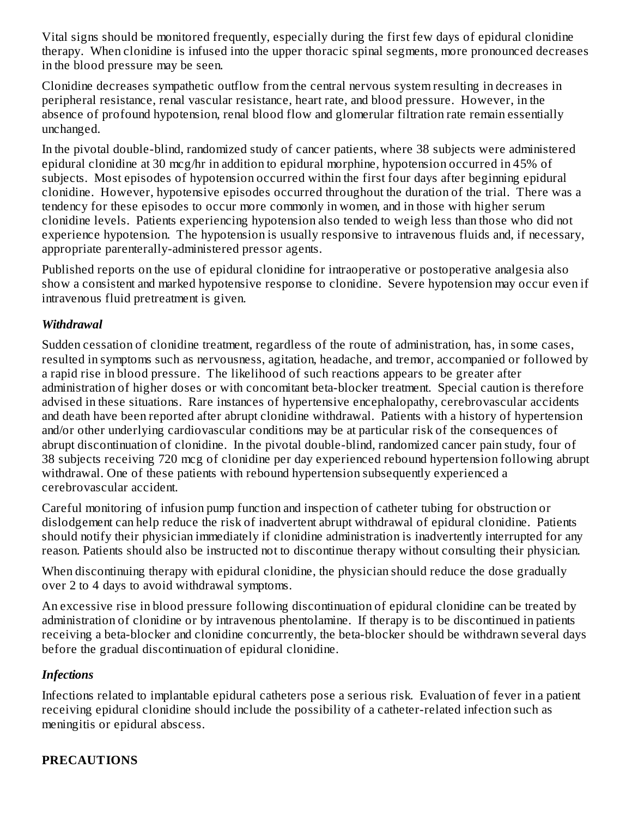Vital signs should be monitored frequently, especially during the first few days of epidural clonidine therapy. When clonidine is infused into the upper thoracic spinal segments, more pronounced decreases in the blood pressure may be seen.

Clonidine decreases sympathetic outflow from the central nervous system resulting in decreases in peripheral resistance, renal vascular resistance, heart rate, and blood pressure. However, in the absence of profound hypotension, renal blood flow and glomerular filtration rate remain essentially unchanged.

In the pivotal double-blind, randomized study of cancer patients, where 38 subjects were administered epidural clonidine at 30 mcg/hr in addition to epidural morphine, hypotension occurred in 45% of subjects. Most episodes of hypotension occurred within the first four days after beginning epidural clonidine. However, hypotensive episodes occurred throughout the duration of the trial. There was a tendency for these episodes to occur more commonly in women, and in those with higher serum clonidine levels. Patients experiencing hypotension also tended to weigh less than those who did not experience hypotension. The hypotension is usually responsive to intravenous fluids and, if necessary, appropriate parenterally-administered pressor agents.

Published reports on the use of epidural clonidine for intraoperative or postoperative analgesia also show a consistent and marked hypotensive response to clonidine. Severe hypotension may occur even if intravenous fluid pretreatment is given.

## *Withdrawal*

Sudden cessation of clonidine treatment, regardless of the route of administration, has, in some cases, resulted in symptoms such as nervousness, agitation, headache, and tremor, accompanied or followed by a rapid rise in blood pressure. The likelihood of such reactions appears to be greater after administration of higher doses or with concomitant beta-blocker treatment. Special caution is therefore advised in these situations. Rare instances of hypertensive encephalopathy, cerebrovascular accidents and death have been reported after abrupt clonidine withdrawal. Patients with a history of hypertension and/or other underlying cardiovascular conditions may be at particular risk of the consequences of abrupt discontinuation of clonidine. In the pivotal double-blind, randomized cancer pain study, four of 38 subjects receiving 720 mcg of clonidine per day experienced rebound hypertension following abrupt withdrawal. One of these patients with rebound hypertension subsequently experienced a cerebrovascular accident.

Careful monitoring of infusion pump function and inspection of catheter tubing for obstruction or dislodgement can help reduce the risk of inadvertent abrupt withdrawal of epidural clonidine. Patients should notify their physician immediately if clonidine administration is inadvertently interrupted for any reason. Patients should also be instructed not to discontinue therapy without consulting their physician.

When discontinuing therapy with epidural clonidine, the physician should reduce the dose gradually over 2 to 4 days to avoid withdrawal symptoms.

An excessive rise in blood pressure following discontinuation of epidural clonidine can be treated by administration of clonidine or by intravenous phentolamine. If therapy is to be discontinued in patients receiving a beta-blocker and clonidine concurrently, the beta-blocker should be withdrawn several days before the gradual discontinuation of epidural clonidine.

## *Infections*

Infections related to implantable epidural catheters pose a serious risk. Evaluation of fever in a patient receiving epidural clonidine should include the possibility of a catheter-related infection such as meningitis or epidural abscess.

## **PRECAUTIONS**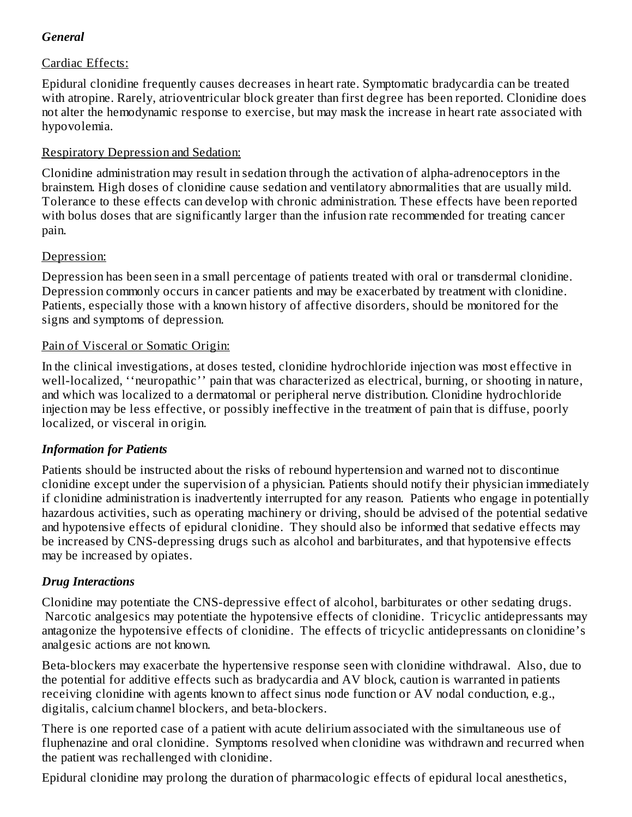## *General*

## Cardiac Effects:

Epidural clonidine frequently causes decreases in heart rate. Symptomatic bradycardia can be treated with atropine. Rarely, atrioventricular block greater than first degree has been reported. Clonidine does not alter the hemodynamic response to exercise, but may mask the increase in heart rate associated with hypovolemia.

## Respiratory Depression and Sedation:

Clonidine administration may result in sedation through the activation of alpha-adrenoceptors in the brainstem. High doses of clonidine cause sedation and ventilatory abnormalities that are usually mild. Tolerance to these effects can develop with chronic administration. These effects have been reported with bolus doses that are significantly larger than the infusion rate recommended for treating cancer pain.

## Depression:

Depression has been seen in a small percentage of patients treated with oral or transdermal clonidine. Depression commonly occurs in cancer patients and may be exacerbated by treatment with clonidine. Patients, especially those with a known history of affective disorders, should be monitored for the signs and symptoms of depression.

## Pain of Visceral or Somatic Origin:

In the clinical investigations, at doses tested, clonidine hydrochloride injection was most effective in well-localized, ''neuropathic'' pain that was characterized as electrical, burning, or shooting in nature, and which was localized to a dermatomal or peripheral nerve distribution. Clonidine hydrochloride injection may be less effective, or possibly ineffective in the treatment of pain that is diffuse, poorly localized, or visceral in origin.

## *Information for Patients*

Patients should be instructed about the risks of rebound hypertension and warned not to discontinue clonidine except under the supervision of a physician. Patients should notify their physician immediately if clonidine administration is inadvertently interrupted for any reason. Patients who engage in potentially hazardous activities, such as operating machinery or driving, should be advised of the potential sedative and hypotensive effects of epidural clonidine. They should also be informed that sedative effects may be increased by CNS-depressing drugs such as alcohol and barbiturates, and that hypotensive effects may be increased by opiates.

## *Drug Interactions*

Clonidine may potentiate the CNS-depressive effect of alcohol, barbiturates or other sedating drugs. Narcotic analgesics may potentiate the hypotensive effects of clonidine. Tricyclic antidepressants may antagonize the hypotensive effects of clonidine. The effects of tricyclic antidepressants on clonidine's analgesic actions are not known.

Beta-blockers may exacerbate the hypertensive response seen with clonidine withdrawal. Also, due to the potential for additive effects such as bradycardia and AV block, caution is warranted in patients receiving clonidine with agents known to affect sinus node function or AV nodal conduction, e.g., digitalis, calcium channel blockers, and beta-blockers.

There is one reported case of a patient with acute delirium associated with the simultaneous use of fluphenazine and oral clonidine. Symptoms resolved when clonidine was withdrawn and recurred when the patient was rechallenged with clonidine.

Epidural clonidine may prolong the duration of pharmacologic effects of epidural local anesthetics,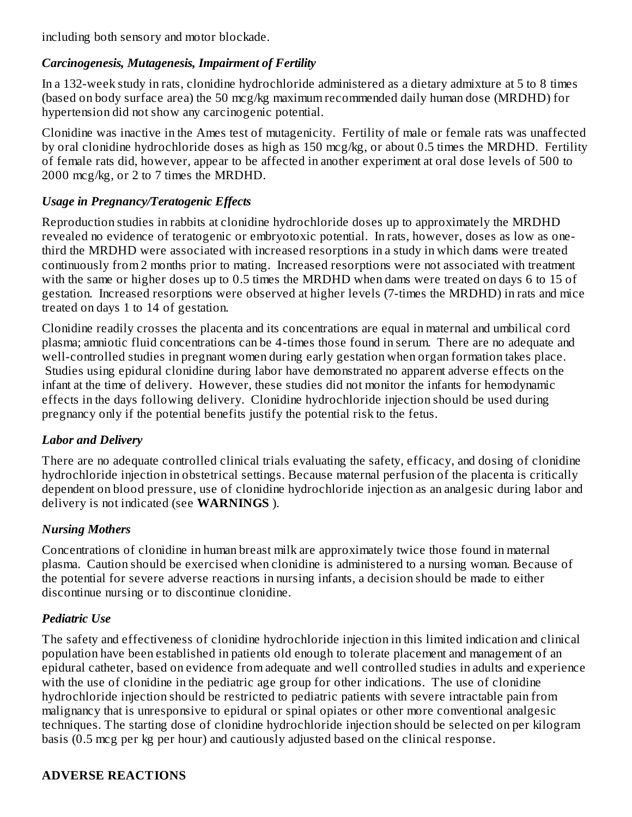including both sensory and motor blockade.

## *Carcinogenesis, Mutagenesis, Impairment of Fertility*

In a 132-week study in rats, clonidine hydrochloride administered as a dietary admixture at 5 to 8 times (based on body surface area) the 50 mcg/kg maximum recommended daily human dose (MRDHD) for hypertension did not show any carcinogenic potential.

Clonidine was inactive in the Ames test of mutagenicity. Fertility of male or female rats was unaffected by oral clonidine hydrochloride doses as high as 150 mcg/kg, or about 0.5 times the MRDHD. Fertility of female rats did, however, appear to be affected in another experiment at oral dose levels of 500 to 2000 mcg/kg, or 2 to 7 times the MRDHD.

## *Usage in Pregnancy/Teratogenic Effects*

Reproduction studies in rabbits at clonidine hydrochloride doses up to approximately the MRDHD revealed no evidence of teratogenic or embryotoxic potential. In rats, however, doses as low as onethird the MRDHD were associated with increased resorptions in a study in which dams were treated continuously from 2 months prior to mating. Increased resorptions were not associated with treatment with the same or higher doses up to 0.5 times the MRDHD when dams were treated on days 6 to 15 of gestation. Increased resorptions were observed at higher levels (7-times the MRDHD) in rats and mice treated on days 1 to 14 of gestation.

Clonidine readily crosses the placenta and its concentrations are equal in maternal and umbilical cord plasma; amniotic fluid concentrations can be 4-times those found in serum. There are no adequate and well-controlled studies in pregnant women during early gestation when organ formation takes place. Studies using epidural clonidine during labor have demonstrated no apparent adverse effects on the infant at the time of delivery. However, these studies did not monitor the infants for hemodynamic effects in the days following delivery. Clonidine hydrochloride injection should be used during pregnancy only if the potential benefits justify the potential risk to the fetus.

## *Labor and Delivery*

There are no adequate controlled clinical trials evaluating the safety, efficacy, and dosing of clonidine hydrochloride injection in obstetrical settings. Because maternal perfusion of the placenta is critically dependent on blood pressure, use of clonidine hydrochloride injection as an analgesic during labor and delivery is not indicated (see **WARNINGS** ).

## *Nursing Mothers*

Concentrations of clonidine in human breast milk are approximately twice those found in maternal plasma. Caution should be exercised when clonidine is administered to a nursing woman. Because of the potential for severe adverse reactions in nursing infants, a decision should be made to either discontinue nursing or to discontinue clonidine.

#### *Pediatric Use*

The safety and effectiveness of clonidine hydrochloride injection in this limited indication and clinical population have been established in patients old enough to tolerate placement and management of an epidural catheter, based on evidence from adequate and well controlled studies in adults and experience with the use of clonidine in the pediatric age group for other indications. The use of clonidine hydrochloride injection should be restricted to pediatric patients with severe intractable pain from malignancy that is unresponsive to epidural or spinal opiates or other more conventional analgesic techniques. The starting dose of clonidine hydrochloride injection should be selected on per kilogram basis (0.5 mcg per kg per hour) and cautiously adjusted based on the clinical response.

## **ADVERSE REACTIONS**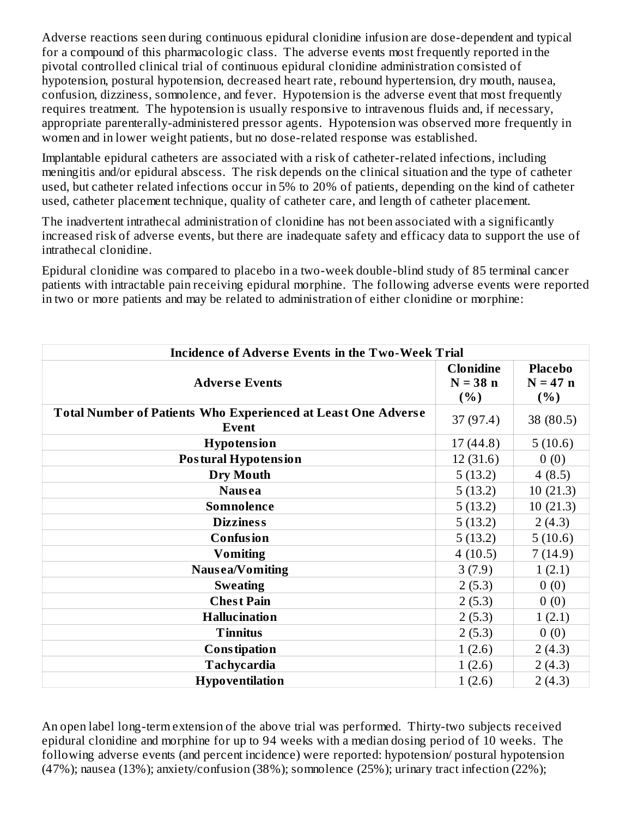Adverse reactions seen during continuous epidural clonidine infusion are dose-dependent and typical for a compound of this pharmacologic class. The adverse events most frequently reported in the pivotal controlled clinical trial of continuous epidural clonidine administration consisted of hypotension, postural hypotension, decreased heart rate, rebound hypertension, dry mouth, nausea, confusion, dizziness, somnolence, and fever. Hypotension is the adverse event that most frequently requires treatment. The hypotension is usually responsive to intravenous fluids and, if necessary, appropriate parenterally-administered pressor agents. Hypotension was observed more frequently in women and in lower weight patients, but no dose-related response was established.

Implantable epidural catheters are associated with a risk of catheter-related infections, including meningitis and/or epidural abscess. The risk depends on the clinical situation and the type of catheter used, but catheter related infections occur in 5% to 20% of patients, depending on the kind of catheter used, catheter placement technique, quality of catheter care, and length of catheter placement.

The inadvertent intrathecal administration of clonidine has not been associated with a significantly increased risk of adverse events, but there are inadequate safety and efficacy data to support the use of intrathecal clonidine.

Epidural clonidine was compared to placebo in a two-week double-blind study of 85 terminal cancer patients with intractable pain receiving epidural morphine. The following adverse events were reported in two or more patients and may be related to administration of either clonidine or morphine:

| <b>Incidence of Adverse Events in the Two-Week Trial</b>                             |                                        |                                     |  |
|--------------------------------------------------------------------------------------|----------------------------------------|-------------------------------------|--|
| <b>Adverse Events</b>                                                                | <b>Clonidine</b><br>$N = 38 n$<br>(% ) | <b>Placebo</b><br>$N = 47 n$<br>(%) |  |
| <b>Total Number of Patients Who Experienced at Least One Adverse</b><br><b>Event</b> | 37 (97.4)                              | 38 (80.5)                           |  |
| <b>Hypotension</b>                                                                   | 17(44.8)                               | 5(10.6)                             |  |
| <b>Postural Hypotension</b>                                                          | 12(31.6)                               | 0(0)                                |  |
| Dry Mouth                                                                            | 5(13.2)                                | 4(8.5)                              |  |
| <b>Nausea</b>                                                                        | 5(13.2)                                | 10(21.3)                            |  |
| Somnolence                                                                           | 5(13.2)                                | 10(21.3)                            |  |
| <b>Dizziness</b>                                                                     | 5(13.2)                                | 2(4.3)                              |  |
| <b>Confusion</b>                                                                     | 5(13.2)                                | 5(10.6)                             |  |
| <b>Vomiting</b>                                                                      | 4(10.5)                                | 7(14.9)                             |  |
| Nausea/Vomiting                                                                      | 3(7.9)                                 | 1(2.1)                              |  |
| <b>Sweating</b>                                                                      | 2(5.3)                                 | 0(0)                                |  |
| <b>Chest Pain</b>                                                                    | 2(5.3)                                 | 0(0)                                |  |
| <b>Hallucination</b>                                                                 | 2(5.3)                                 | 1(2.1)                              |  |
| <b>Tinnitus</b>                                                                      | 2(5.3)                                 | 0(0)                                |  |
| <b>Constipation</b>                                                                  | 1(2.6)                                 | 2(4.3)                              |  |
| <b>Tachycardia</b>                                                                   | 1(2.6)                                 | 2(4.3)                              |  |
| <b>Hypoventilation</b>                                                               | 1(2.6)                                 | 2(4.3)                              |  |

An open label long-term extension of the above trial was performed. Thirty-two subjects received epidural clonidine and morphine for up to 94 weeks with a median dosing period of 10 weeks. The following adverse events (and percent incidence) were reported: hypotension/ postural hypotension (47%); nausea (13%); anxiety/confusion (38%); somnolence (25%); urinary tract infection (22%);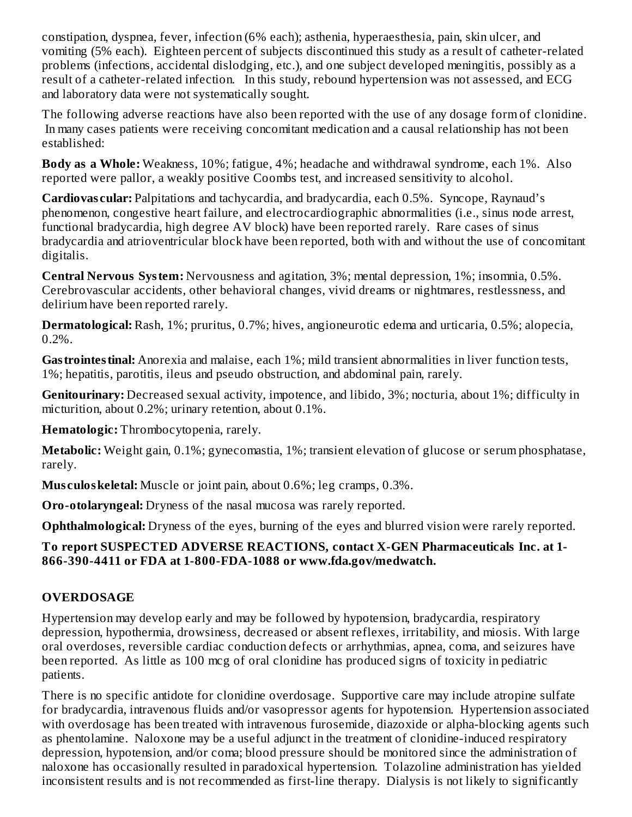constipation, dyspnea, fever, infection (6% each); asthenia, hyperaesthesia, pain, skin ulcer, and vomiting (5% each). Eighteen percent of subjects discontinued this study as a result of catheter-related problems (infections, accidental dislodging, etc.), and one subject developed meningitis, possibly as a result of a catheter-related infection. In this study, rebound hypertension was not assessed, and ECG and laboratory data were not systematically sought.

The following adverse reactions have also been reported with the use of any dosage form of clonidine. In many cases patients were receiving concomitant medication and a causal relationship has not been established:

**Body as a Whole:** Weakness, 10%; fatigue, 4%; headache and withdrawal syndrome, each 1%. Also reported were pallor, a weakly positive Coombs test, and increased sensitivity to alcohol.

**Cardiovas cular:** Palpitations and tachycardia, and bradycardia, each 0.5%. Syncope, Raynaud's phenomenon, congestive heart failure, and electrocardiographic abnormalities (i.e., sinus node arrest, functional bradycardia, high degree AV block) have been reported rarely. Rare cases of sinus bradycardia and atrioventricular block have been reported, both with and without the use of concomitant digitalis.

**Central Nervous System:** Nervousness and agitation, 3%; mental depression, 1%; insomnia, 0.5%. Cerebrovascular accidents, other behavioral changes, vivid dreams or nightmares, restlessness, and delirium have been reported rarely.

**Dermatological:** Rash, 1%; pruritus, 0.7%; hives, angioneurotic edema and urticaria, 0.5%; alopecia,  $0.2\%$ .

**Gastrointestinal:** Anorexia and malaise, each 1%; mild transient abnormalities in liver function tests, 1%; hepatitis, parotitis, ileus and pseudo obstruction, and abdominal pain, rarely.

**Genitourinary:** Decreased sexual activity, impotence, and libido, 3%; nocturia, about 1%; difficulty in micturition, about 0.2%; urinary retention, about 0.1%.

**Hematologic:** Thrombocytopenia, rarely.

**Metabolic:** Weight gain, 0.1%; gynecomastia, 1%; transient elevation of glucose or serum phosphatase, rarely.

**Mus culoskeletal:** Muscle or joint pain, about 0.6%; leg cramps, 0.3%.

**Oro-otolaryngeal:** Dryness of the nasal mucosa was rarely reported.

**Ophthalmological:** Dryness of the eyes, burning of the eyes and blurred vision were rarely reported.

## **To report SUSPECTED ADVERSE REACTIONS, contact X-GEN Pharmaceuticals Inc. at 1- 866-390-4411 or FDA at 1-800-FDA-1088 or www.fda.gov/medwatch.**

## **OVERDOSAGE**

Hypertension may develop early and may be followed by hypotension, bradycardia, respiratory depression, hypothermia, drowsiness, decreased or absent reflexes, irritability, and miosis. With large oral overdoses, reversible cardiac conduction defects or arrhythmias, apnea, coma, and seizures have been reported. As little as 100 mcg of oral clonidine has produced signs of toxicity in pediatric patients.

There is no specific antidote for clonidine overdosage. Supportive care may include atropine sulfate for bradycardia, intravenous fluids and/or vasopressor agents for hypotension. Hypertension associated with overdosage has been treated with intravenous furosemide, diazoxide or alpha-blocking agents such as phentolamine. Naloxone may be a useful adjunct in the treatment of clonidine-induced respiratory depression, hypotension, and/or coma; blood pressure should be monitored since the administration of naloxone has occasionally resulted in paradoxical hypertension. Tolazoline administration has yielded inconsistent results and is not recommended as first-line therapy. Dialysis is not likely to significantly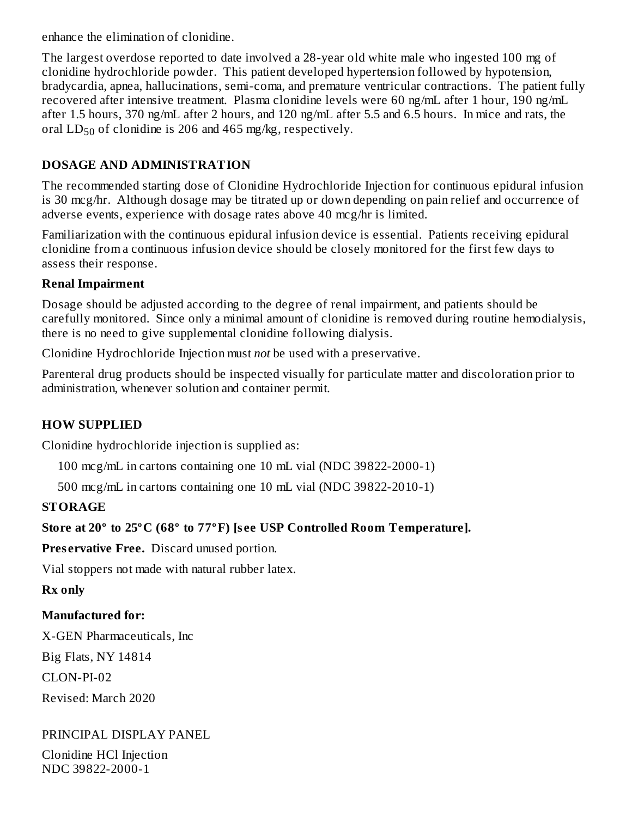enhance the elimination of clonidine.

The largest overdose reported to date involved a 28-year old white male who ingested 100 mg of clonidine hydrochloride powder. This patient developed hypertension followed by hypotension, bradycardia, apnea, hallucinations, semi-coma, and premature ventricular contractions. The patient fully recovered after intensive treatment. Plasma clonidine levels were 60 ng/mL after 1 hour, 190 ng/mL after 1.5 hours, 370 ng/mL after 2 hours, and 120 ng/mL after 5.5 and 6.5 hours. In mice and rats, the oral  $LD_{50}$  of clonidine is 206 and 465 mg/kg, respectively.

## **DOSAGE AND ADMINISTRATION**

The recommended starting dose of Clonidine Hydrochloride Injection for continuous epidural infusion is 30 mcg/hr. Although dosage may be titrated up or down depending on pain relief and occurrence of adverse events, experience with dosage rates above 40 mcg/hr is limited.

Familiarization with the continuous epidural infusion device is essential. Patients receiving epidural clonidine from a continuous infusion device should be closely monitored for the first few days to assess their response.

## **Renal Impairment**

Dosage should be adjusted according to the degree of renal impairment, and patients should be carefully monitored. Since only a minimal amount of clonidine is removed during routine hemodialysis, there is no need to give supplemental clonidine following dialysis.

Clonidine Hydrochloride Injection must *not* be used with a preservative.

Parenteral drug products should be inspected visually for particulate matter and discoloration prior to administration, whenever solution and container permit.

## **HOW SUPPLIED**

Clonidine hydrochloride injection is supplied as:

100 mcg/mL in cartons containing one 10 mL vial (NDC 39822-2000-1)

500 mcg/mL in cartons containing one 10 mL vial (NDC 39822-2010-1)

## **STORAGE**

## **Store at 20º to 25ºC (68º to 77ºF) [s ee USP Controlled Room Temperature].**

**Pres ervative Free.** Discard unused portion.

Vial stoppers not made with natural rubber latex.

## **Rx only**

## **Manufactured for:**

X-GEN Pharmaceuticals, Inc Big Flats, NY 14814 CLON-PI-02 Revised: March 2020

## PRINCIPAL DISPLAY PANEL

Clonidine HCl Injection NDC 39822-2000-1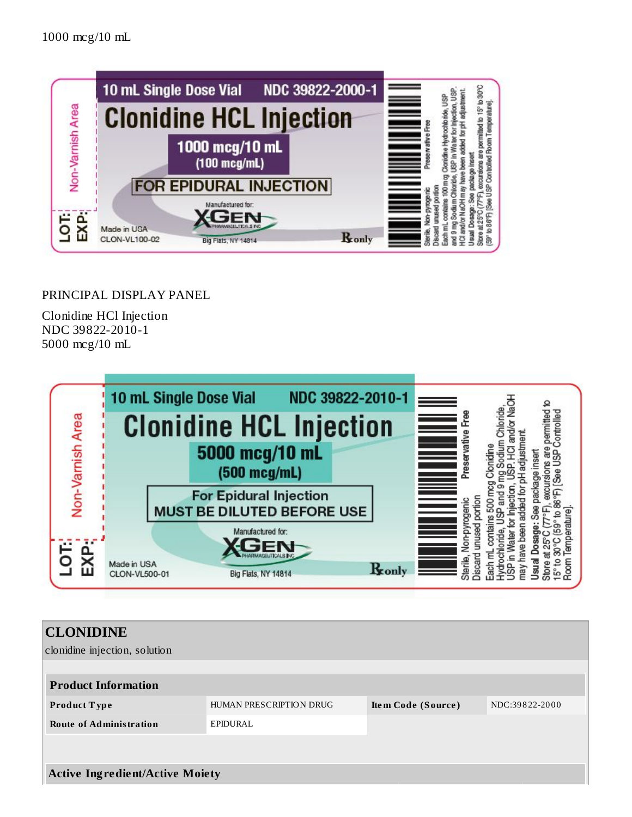

PRINCIPAL DISPLAY PANEL

Clonidine HCl Injection NDC 39822-2010-1 5000 mcg/10 mL



| <b>CLONIDINE</b>                       |                         |                    |                |
|----------------------------------------|-------------------------|--------------------|----------------|
| clonidine injection, solution          |                         |                    |                |
|                                        |                         |                    |                |
| <b>Product Information</b>             |                         |                    |                |
| <b>Product Type</b>                    | HUMAN PRESCRIPTION DRUG | Item Code (Source) | NDC:39822-2000 |
| <b>Route of Administration</b>         | <b>EPIDURAL</b>         |                    |                |
|                                        |                         |                    |                |
|                                        |                         |                    |                |
| <b>Active Ingredient/Active Moiety</b> |                         |                    |                |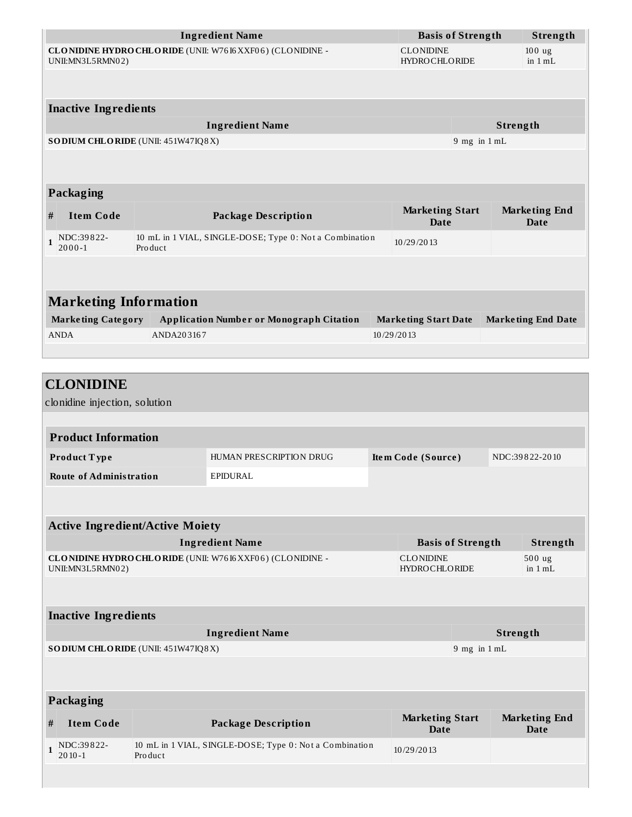|                                          |            | <b>Ingredient Name</b>                                   |            | <b>Basis of Strength</b>                      |              | Strength                            |
|------------------------------------------|------------|----------------------------------------------------------|------------|-----------------------------------------------|--------------|-------------------------------------|
| UNII:MN3L5RMN02)                         |            | CLONIDINE HYDRO CHLORIDE (UNII: W7616XXF06) (CLONIDINE - |            | <b>CLONIDINE</b><br>$100$ ug<br>HYDROCHLORIDE |              | in 1 mL                             |
|                                          |            |                                                          |            |                                               |              |                                     |
| <b>Inactive Ingredients</b>              |            |                                                          |            |                                               |              |                                     |
|                                          |            | <b>Ingredient Name</b>                                   |            |                                               | Strength     |                                     |
| SO DIUM CHLORIDE (UNII: 451W47IQ8X)      |            |                                                          |            |                                               | 9 mg in 1 mL |                                     |
|                                          |            |                                                          |            |                                               |              |                                     |
| Packaging                                |            |                                                          |            |                                               |              |                                     |
| <b>Item Code</b><br>#                    |            | <b>Package Description</b>                               |            | <b>Marketing Start</b><br><b>Date</b>         |              | <b>Marketing End</b><br><b>Date</b> |
| NDC:39822-<br>$\mathbf{1}$<br>$2000 - 1$ | Product    | 10 mL in 1 VIAL, SINGLE-DOSE; Type 0: Not a Combination  |            | 10/29/2013                                    |              |                                     |
|                                          |            |                                                          |            |                                               |              |                                     |
| <b>Marketing Information</b>             |            |                                                          |            |                                               |              |                                     |
| <b>Marketing Category</b>                |            | <b>Application Number or Monograph Citation</b>          |            | <b>Marketing Start Date</b>                   |              | <b>Marketing End Date</b>           |
| <b>ANDA</b>                              | ANDA203167 |                                                          | 10/29/2013 |                                               |              |                                     |
|                                          |            |                                                          |            |                                               |              |                                     |
|                                          |            |                                                          |            |                                               |              |                                     |
| <b>CLONIDINE</b>                         |            |                                                          |            |                                               |              |                                     |
| clonidine injection, solution            |            |                                                          |            |                                               |              |                                     |
|                                          |            |                                                          |            |                                               |              |                                     |
| <b>Product Information</b>               |            |                                                          |            |                                               |              |                                     |
| Product Type                             |            | HUMAN PRESCRIPTION DRUG                                  |            | Item Code (Source)                            |              | NDC:39822-2010                      |
| <b>Route of Administration</b>           |            | <b>EPIDURAL</b>                                          |            |                                               |              |                                     |
|                                          |            |                                                          |            |                                               |              |                                     |
| <b>Active Ingredient/Active Moiety</b>   |            |                                                          |            |                                               |              |                                     |
|                                          |            | <b>Ingredient Name</b>                                   |            | <b>Basis of Strength</b>                      |              | Strength                            |
| UNII:MN3L5RMN02)                         |            | CLONIDINE HYDRO CHLORIDE (UNII: W7616XXF06) (CLONIDINE - |            | <b>CLONIDINE</b><br><b>HYDROCHLORIDE</b>      |              | 500 ug<br>in $1 mL$                 |
|                                          |            |                                                          |            |                                               |              |                                     |
| <b>Inactive Ingredients</b>              |            |                                                          |            |                                               |              |                                     |
|                                          |            | <b>Ingredient Name</b>                                   |            |                                               | Strength     |                                     |
| SO DIUM CHLORIDE (UNII: 451W47IQ8X)      |            |                                                          |            |                                               | 9 mg in 1 mL |                                     |
|                                          |            |                                                          |            |                                               |              |                                     |
| Packaging                                |            |                                                          |            |                                               |              |                                     |
| <b>Item Code</b><br>#                    |            | <b>Package Description</b>                               |            | <b>Marketing Start</b><br>Date                |              | <b>Marketing End</b><br>Date        |
| NDC:39822-<br>$\mathbf{1}$<br>$2010 - 1$ | Product    | 10 mL in 1 VIAL, SINGLE-DOSE; Type 0: Not a Combination  |            | 10/29/2013                                    |              |                                     |
|                                          |            |                                                          |            |                                               |              |                                     |